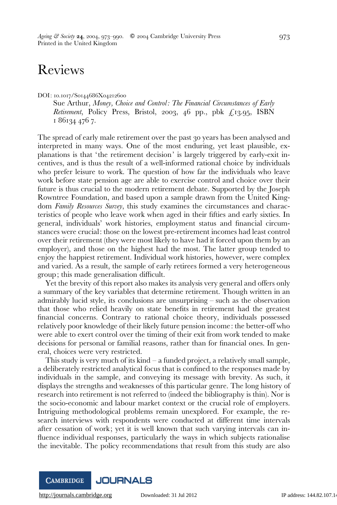# Reviews

#### DOI: 10.1017/S0144686X04212600

Sue Arthur, Money, Choice and Control: The Financial Circumstances of Early Retirement, Policy Press, Bristol, 2003, 46 pp., pbk  $f_{13.95}$ , ISBN 1 86134 476 7.

The spread of early male retirement over the past 30 years has been analysed and interpreted in many ways. One of the most enduring, yet least plausible, explanations is that 'the retirement decision' is largely triggered by early-exit incentives, and is thus the result of a well-informed rational choice by individuals who prefer leisure to work. The question of how far the individuals who leave work before state pension age are able to exercise control and choice over their future is thus crucial to the modern retirement debate. Supported by the Joseph Rowntree Foundation, and based upon a sample drawn from the United Kingdom Family Resources Survey, this study examines the circumstances and characteristics of people who leave work when aged in their fifties and early sixties. In general, individuals' work histories, employment status and financial circumstances were crucial: those on the lowest pre-retirement incomes had least control over their retirement (they were most likely to have had it forced upon them by an employer), and those on the highest had the most. The latter group tended to enjoy the happiest retirement. Individual work histories, however, were complex and varied. As a result, the sample of early retirees formed a very heterogeneous group; this made generalisation difficult.

Yet the brevity of this report also makes its analysis very general and offers only a summary of the key variables that determine retirement. Though written in an admirably lucid style, its conclusions are unsurprising – such as the observation that those who relied heavily on state benefits in retirement had the greatest financial concerns. Contrary to rational choice theory, individuals possessed relatively poor knowledge of their likely future pension income: the better-off who were able to exert control over the timing of their exit from work tended to make decisions for personal or familial reasons, rather than for financial ones. In general, choices were very restricted.

This study is very much of its kind – a funded project, a relatively small sample, a deliberately restricted analytical focus that is confined to the responses made by individuals in the sample, and conveying its message with brevity. As such, it displays the strengths and weaknesses of this particular genre. The long history of research into retirement is not referred to (indeed the bibliography is thin). Nor is the socio-economic and labour market context or the crucial role of employers. Intriguing methodological problems remain unexplored. For example, the research interviews with respondents were conducted at different time intervals after cessation of work; yet it is well known that such varying intervals can influence individual responses, particularly the ways in which subjects rationalise the inevitable. The policy recommendations that result from this study are also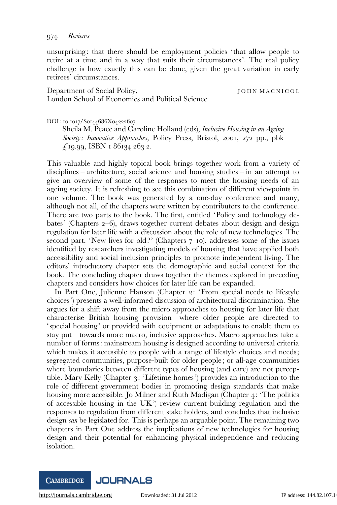unsurprising: that there should be employment policies 'that allow people to retire at a time and in a way that suits their circumstances'. The real policy challenge is how exactly this can be done, given the great variation in early retirees' circumstances.

Department of Social Policy, JOHN MACNICOL London School of Economics and Political Science

DOI: 10.1017/S0144686X04222607

Sheila M. Peace and Caroline Holland (eds), *Inclusive Housing in an Ageing* Society: Innovative Approaches, Policy Press, Bristol, 2001, 272 pp., pbk  $£19.99, ISBN 1861342632.$ 

This valuable and highly topical book brings together work from a variety of disciplines – architecture, social science and housing studies – in an attempt to give an overview of some of the responses to meet the housing needs of an ageing society. It is refreshing to see this combination of different viewpoints in one volume. The book was generated by a one-day conference and many, although not all, of the chapters were written by contributors to the conference. There are two parts to the book. The first, entitled 'Policy and technology debates' (Chapters 2–6), draws together current debates about design and design regulation for later life with a discussion about the role of new technologies. The second part, 'New lives for old?' (Chapters 7-10), addresses some of the issues identified by researchers investigating models of housing that have applied both accessibility and social inclusion principles to promote independent living. The editors' introductory chapter sets the demographic and social context for the book. The concluding chapter draws together the themes explored in preceding chapters and considers how choices for later life can be expanded.

In Part One, Julienne Hanson (Chapter 2: 'From special needs to lifestyle choices') presents a well-informed discussion of architectural discrimination. She argues for a shift away from the micro approaches to housing for later life that characterise British housing provision – where older people are directed to ' special housing' or provided with equipment or adaptations to enable them to stay put – towards more macro, inclusive approaches. Macro approaches take a number of forms: mainstream housing is designed according to universal criteria which makes it accessible to people with a range of lifestyle choices and needs; segregated communities, purpose-built for older people; or all-age communities where boundaries between different types of housing (and care) are not perceptible. Mary Kelly (Chapter 3: 'Lifetime homes') provides an introduction to the role of different government bodies in promoting design standards that make housing more accessible. Jo Milner and Ruth Madigan (Chapter 4: 'The politics of accessible housing in the UK') review current building regulation and the responses to regulation from different stake holders, and concludes that inclusive design can be legislated for. This is perhaps an arguable point. The remaining two chapters in Part One address the implications of new technologies for housing design and their potential for enhancing physical independence and reducing isolation.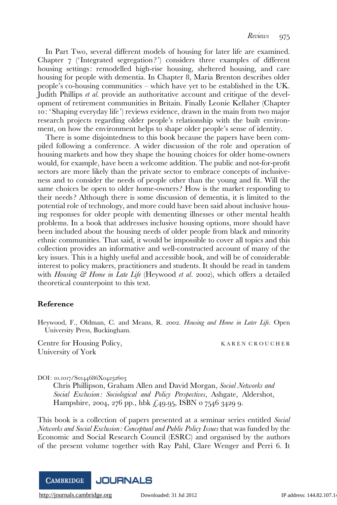In Part Two, several different models of housing for later life are examined. Chapter 7 ('Integrated segregation?') considers three examples of different housing settings: remodelled high-rise housing, sheltered housing, and care housing for people with dementia. In Chapter 8, Maria Brenton describes older people's co-housing communities – which have yet to be established in the UK. Judith Phillips et al. provide an authoritative account and critique of the development of retirement communities in Britain. Finally Leonie Kellaher (Chapter 10: 'Shaping everyday life') reviews evidence, drawn in the main from two major research projects regarding older people's relationship with the built environment, on how the environment helps to shape older people's sense of identity.

There is some disjointedness to this book because the papers have been compiled following a conference. A wider discussion of the role and operation of housing markets and how they shape the housing choices for older home-owners would, for example, have been a welcome addition. The public and not-for-profit sectors are more likely than the private sector to embrace concepts of inclusiveness and to consider the needs of people other than the young and fit. Will the same choices be open to older home-owners ? How is the market responding to their needs ? Although there is some discussion of dementia, it is limited to the potential role of technology, and more could have been said about inclusive housing responses for older people with dementing illnesses or other mental health problems. In a book that addresses inclusive housing options, more should have been included about the housing needs of older people from black and minority ethnic communities. That said, it would be impossible to cover all topics and this collection provides an informative and well-constructed account of many of the key issues. This is a highly useful and accessible book, and will be of considerable interest to policy makers, practitioners and students. It should be read in tandem with Housing  $\mathcal{G}$  Home in Late Life (Heywood et al. 2002), which offers a detailed theoretical counterpoint to this text.

# Reference

Heywood, F., Oldman, C. and Means, R. 2002. Housing and Home in Later Life. Open University Press, Buckingham.

Centre for Housing Policy, KAREN CROUCHER University of York

DOI: 10.1017/S0144686X04232603

Chris Phillipson, Graham Allen and David Morgan, Social Networks and Social Exclusion: Sociological and Policy Perspectives, Ashgate, Aldershot, Hampshire, 2004, 276 pp., hbk  $\dot{f}$ , 49.95, ISBN 0 7546 3429 9.

This book is a collection of papers presented at a seminar series entitled Social Networks and Social Exclusion: Conceptual and Public Policy Issues that was funded by the Economic and Social Research Council (ESRC) and organised by the authors of the present volume together with Ray Pahl, Clare Wenger and Perri 6. It



<http://journals.cambridge.org> Downloaded: 31 Jul 2012 IP address: 144.82.107.14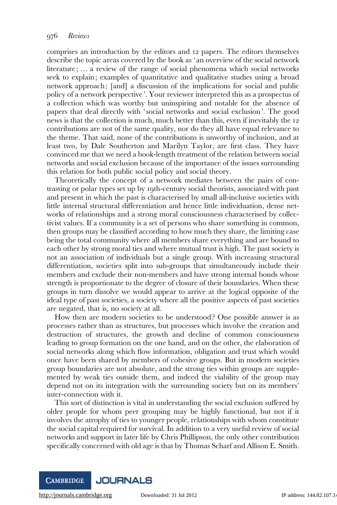comprises an introduction by the editors and 12 papers. The editors themselves describe the topic areas covered by the book as 'an overview of the social network literature; … a review of the range of social phenomena which social networks seek to explain; examples of quantitative and qualitative studies using a broad network approach; [and] a discussion of the implications for social and public policy of a network perspective'. Your reviewer interpreted this as a prospectus of a collection which was worthy but uninspiring and notable for the absence of papers that deal directly with ' social networks and social exclusion'. The good news is that the collection is much, much better than this, even if inevitably the 12 contributions are not of the same quality, nor do they all have equal relevance to the theme. That said, none of the contributions is unworthy of inclusion, and at least two, by Dale Southerton and Marilyn Taylor, are first class. They have convinced me that we need a book-length treatment of the relation between social networks and social exclusion because of the importance of the issues surrounding this relation for both public social policy and social theory.

Theoretically the concept of a network mediates between the pairs of contrasting or polar types set up by 19th-century social theorists, associated with past and present in which the past is characterised by small all-inclusive societies with little internal structural differentiation and hence little individuation, dense networks of relationships and a strong moral consciousness characterised by collectivist values. If a community is a set of persons who share something in common, then groups may be classified according to how much they share, the limiting case being the total community where all members share everything and are bound to each other by strong moral ties and where mutual trust is high. The past society is not an association of individuals but a single group. With increasing structural differentiation, societies split into sub-groups that simultaneously include their members and exclude their non-members and have strong internal bonds whose strength is proportionate to the degree of closure of their boundaries. When these groups in turn dissolve we would appear to arrive at the logical opposite of the ideal type of past societies, a society where all the positive aspects of past societies are negated, that is, no society at all.

How then are modern societies to be understood ? One possible answer is as processes rather than as structures, but processes which involve the creation and destruction of structures, the growth and decline of common consciousness leading to group formation on the one hand, and on the other, the elaboration of social networks along which flow information, obligation and trust which would once have been shared by members of cohesive groups. But in modern societies group boundaries are not absolute, and the strong ties within groups are supplemented by weak ties outside them, and indeed the viability of the group may depend not on its integration with the surrounding society but on its members' inter-connection with it.

This sort of distinction is vital in understanding the social exclusion suffered by older people for whom peer grouping may be highly functional, but not if it involves the atrophy of ties to younger people, relationships with whom constitute the social capital required for survival. In addition to a very useful review of social networks and support in later life by Chris Phillipson, the only other contribution specifically concerned with old age is that by Thomas Scharf and Allison E. Smith.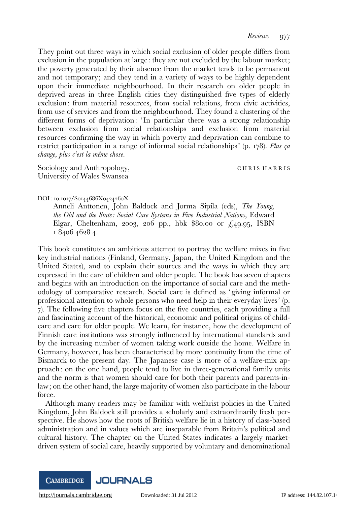They point out three ways in which social exclusion of older people differs from exclusion in the population at large: they are not excluded by the labour market; the poverty generated by their absence from the market tends to be permanent and not temporary; and they tend in a variety of ways to be highly dependent upon their immediate neighbourhood. In their research on older people in deprived areas in three English cities they distinguished five types of elderly exclusion: from material resources, from social relations, from civic activities, from use of services and from the neighbourhood. They found a clustering of the different forms of deprivation: 'In particular there was a strong relationship between exclusion from social relationships and exclusion from material resources confirming the way in which poverty and deprivation can combine to restrict participation in a range of informal social relationships' (p. 178). Plus  $\varrho$ change, plus c'est la même chose.

Sociology and Anthropology, CHRIS HARRIS University of Wales Swansea

## DOI: 10.1017/S0144686X0424260X

Anneli Anttonen, John Baldock and Jorma Sipila (eds), The Young, the Old and the State: Social Care Systems in Five Industrial Nations, Edward Elgar, Cheltenham, 2003, 206 pp., hbk  $$80.00$  or  $\angle A49.95$ , ISBN 1 8406 4628 4.

This book constitutes an ambitious attempt to portray the welfare mixes in five key industrial nations (Finland, Germany, Japan, the United Kingdom and the United States), and to explain their sources and the ways in which they are expressed in the care of children and older people. The book has seven chapters and begins with an introduction on the importance of social care and the methodology of comparative research. Social care is defined as 'giving informal or professional attention to whole persons who need help in their everyday lives' (p. 7). The following five chapters focus on the five countries, each providing a full and fascinating account of the historical, economic and political origins of childcare and care for older people. We learn, for instance, how the development of Finnish care institutions was strongly influenced by international standards and by the increasing number of women taking work outside the home. Welfare in Germany, however, has been characterised by more continuity from the time of Bismarck to the present day. The Japanese case is more of a welfare-mix approach: on the one hand, people tend to live in three-generational family units and the norm is that women should care for both their parents and parents-inlaw; on the other hand, the large majority of women also participate in the labour force.

Although many readers may be familiar with welfarist policies in the United Kingdom, John Baldock still provides a scholarly and extraordinarily fresh perspective. He shows how the roots of British welfare lie in a history of class-based administration and in values which are inseparable from Britain's political and cultural history. The chapter on the United States indicates a largely marketdriven system of social care, heavily supported by voluntary and denominational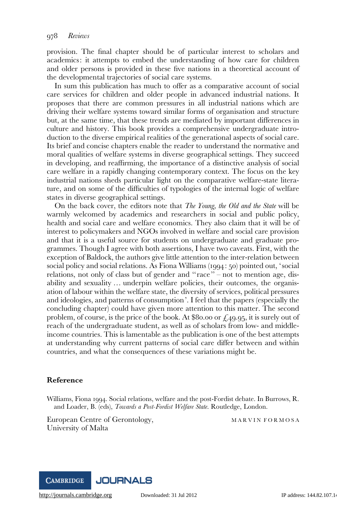provision. The final chapter should be of particular interest to scholars and academics: it attempts to embed the understanding of how care for children and older persons is provided in these five nations in a theoretical account of the developmental trajectories of social care systems.

In sum this publication has much to offer as a comparative account of social care services for children and older people in advanced industrial nations. It proposes that there are common pressures in all industrial nations which are driving their welfare systems toward similar forms of organisation and structure but, at the same time, that these trends are mediated by important differences in culture and history. This book provides a comprehensive undergraduate introduction to the diverse empirical realities of the generational aspects of social care. Its brief and concise chapters enable the reader to understand the normative and moral qualities of welfare systems in diverse geographical settings. They succeed in developing, and reaffirming, the importance of a distinctive analysis of social care welfare in a rapidly changing contemporary context. The focus on the key industrial nations sheds particular light on the comparative welfare-state literature, and on some of the difficulties of typologies of the internal logic of welfare states in diverse geographical settings.

On the back cover, the editors note that The Young, the Old and the State will be warmly welcomed by academics and researchers in social and public policy, health and social care and welfare economics. They also claim that it will be of interest to policymakers and NGOs involved in welfare and social care provision and that it is a useful source for students on undergraduate and graduate programmes. Though I agree with both assertions, I have two caveats. First, with the exception of Baldock, the authors give little attention to the inter-relation between social policy and social relations. As Fiona Williams (1994: 50) pointed out, ' social relations, not only of class but of gender and '' race'' – not to mention age, disability and sexuality … underpin welfare policies, their outcomes, the organisation of labour within the welfare state, the diversity of services, political pressures and ideologies, and patterns of consumption'. I feel that the papers (especially the concluding chapter) could have given more attention to this matter. The second problem, of course, is the price of the book. At \$80.00 or  $\mathcal{L}_4$ 9.95, it is surely out of reach of the undergraduate student, as well as of scholars from low- and middleincome countries. This is lamentable as the publication is one of the best attempts at understanding why current patterns of social care differ between and within countries, and what the consequences of these variations might be.

## Reference

Williams, Fiona 1994. Social relations, welfare and the post-Fordist debate. In Burrows, R. and Loader, B. (eds), Towards a Post-Fordist Welfare State. Routledge, London.

European Centre of Gerontology, MARVIN FORMOSA University of Malta

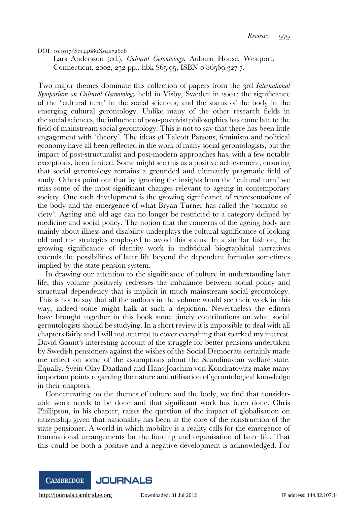DOI: 10.1017/S0144686X04252606

Lars Andersson (ed.), *Cultural Gerontology*, Auburn House, Westport, Connecticut, 2002, 232 pp., hbk \$65.95, ISBN 0 86569 327 7.

Two major themes dominate this collection of papers from the 3rd *International* Symposium on Cultural Gerontology held in Visby, Sweden in 2001: the significance of the 'cultural turn' in the social sciences, and the status of the body in the emerging cultural gerontology. Unlike many of the other research fields in the social sciences, the influence of post-positivist philosophies has come late to the field of mainstream social gerontology. This is not to say that there has been little engagement with 'theory'. The ideas of Talcott Parsons, feminism and political economy have all been reflected in the work of many social gerontologists, but the impact of post-structuralist and post-modern approaches has, with a few notable exceptions, been limited. Some might see this as a positive achievement, ensuring that social gerontology remains a grounded and ultimately pragmatic field of study. Others point out that by ignoring the insights from the 'cultural turn' we miss some of the most significant changes relevant to ageing in contemporary society. One such development is the growing significance of representations of the body and the emergence of what Bryan Turner has called the ' somatic society'. Ageing and old age can no longer be restricted to a category defined by medicine and social policy. The notion that the concerns of the ageing body are mainly about illness and disability underplays the cultural significance of looking old and the strategies employed to avoid this status. In a similar fashion, the growing significance of identity work in individual biographical narratives extends the possibilities of later life beyond the dependent formulas sometimes implied by the state pension system.

In drawing our attention to the significance of culture in understanding later life, this volume positively redresses the imbalance between social policy and structural dependency that is implicit in much mainstream social gerontology. This is not to say that all the authors in the volume would see their work in this way, indeed some might balk at such a depiction. Nevertheless the editors have brought together in this book some timely contributions on what social gerontologists should be studying. In a short review it is impossible to deal with all chapters fairly and I will not attempt to cover everything that sparked my interest. David Gaunt's interesting account of the struggle for better pensions undertaken by Swedish pensioners against the wishes of the Social Democrats certainly made me reflect on some of the assumptions about the Scandinavian welfare state. Equally, Svein Olav Daatland and Hans-Joachim von Kondratowitz make many important points regarding the nature and utilisation of gerontological knowledge in their chapters.

Concentrating on the themes of culture and the body, we find that considerable work needs to be done and that significant work has been done. Chris Phillipson, in his chapter, raises the question of the impact of globalisation on citizenship given that nationality has been at the core of the construction of the state pensioner. A world in which mobility is a reality calls for the emergence of transnational arrangements for the funding and organisation of later life. That this could be both a positive and a negative development is acknowledged. For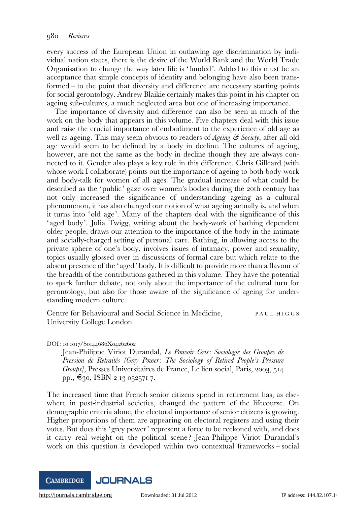every success of the European Union in outlawing age discrimination by individual nation states, there is the desire of the World Bank and the World Trade Organisation to change the way later life is 'funded'. Added to this must be an acceptance that simple concepts of identity and belonging have also been transformed – to the point that diversity and difference are necessary starting points for social gerontology. Andrew Blaikie certainly makes this point in his chapter on ageing sub-cultures, a much neglected area but one of increasing importance.

The importance of diversity and difference can also be seen in much of the work on the body that appears in this volume. Five chapters deal with this issue and raise the crucial importance of embodiment to the experience of old age as well as ageing. This may seem obvious to readers of Ageing  $\mathcal{C}$  Society, after all old age would seem to be defined by a body in decline. The cultures of ageing, however, are not the same as the body in decline though they are always connected to it. Gender also plays a key role in this difference. Chris Gilleard (with whose work I collaborate) points out the importance of ageing to both body-work and body-talk for women of all ages. The gradual increase of what could be described as the 'public' gaze over women's bodies during the 20th century has not only increased the significance of understanding ageing as a cultural phenomenon, it has also changed our notion of what ageing actually is, and when it turns into 'old age'. Many of the chapters deal with the significance of this 'aged body'. Julia Twigg, writing about the body-work of bathing dependent older people, draws our attention to the importance of the body in the intimate and socially-charged setting of personal care. Bathing, in allowing access to the private sphere of one's body, involves issues of intimacy, power and sexuality, topics usually glossed over in discussions of formal care but which relate to the absent presence of the 'aged' body. It is difficult to provide more than a flavour of the breadth of the contributions gathered in this volume. They have the potential to spark further debate, not only about the importance of the cultural turn for gerontology, but also for those aware of the significance of ageing for understanding modern culture.

Centre for Behavioural and Social Science in Medicine, PAUL HIGGS University College London

DOI: 10.1017/S0144686X04262602

Jean-Philippe Viriot Durandal, Le Pouvoir Gris: Sociologie des Groupes de Pression de Retraités [Grey Power: The Sociology of Retired People's Pressure Groups], Presses Universitaires de France, Le lien social, Paris, 2003, 514 pp., *E*30, ISBN 2 13 052571 7.

The increased time that French senior citizens spend in retirement has, as elsewhere in post-industrial societies, changed the pattern of the lifecourse. On demographic criteria alone, the electoral importance of senior citizens is growing. Higher proportions of them are appearing on electoral registers and using their votes. But does this 'grey power' represent a force to be reckoned with, and does it carry real weight on the political scene ? Jean-Philippe Viriot Durandal's work on this question is developed within two contextual frameworks – social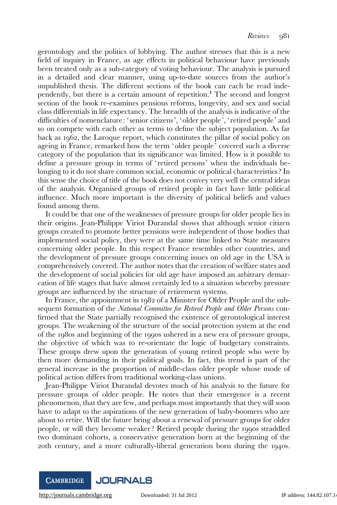gerontology and the politics of lobbying. The author stresses that this is a new field of inquiry in France, as age effects in political behaviour have previously been treated only as a sub-category of voting behaviour. The analysis is pursued in a detailed and clear manner, using up-to-date sources from the author's unpublished thesis. The different sections of the book can each be read independently, but there is a certain amount of repetition.<sup>1</sup> The second and longest section of the book re-examines pensions reforms, longevity, and sex and social class differentials in life expectancy. The breadth of the analysis is indicative of the difficulties of nomenclature: ' senior citizens', ' older people', ' retired people' and so on compete with each other as terms to define the subject population. As far back as 1962, the Laroque report, which constitutes the pillar of social policy on ageing in France, remarked how the term ' older people' covered such a diverse category of the population that its significance was limited. How is it possible to define a pressure group in terms of ' retired persons' when the individuals belonging to it do not share common social, economic or political characteristics ? In this sense the choice of title of the book does not convey very well the central ideas of the analysis. Organised groups of retired people in fact have little political influence. Much more important is the diversity of political beliefs and values found among them.

It could be that one of the weaknesses of pressure groups for older people lies in their origins. Jean-Philippe Viriot Durandal shows that although senior citizen groups created to promote better pensions were independent of those bodies that implemented social policy, they were at the same time linked to State measures concerning older people. In this respect France resembles other countries, and the development of pressure groups concerning issues on old age in the USA is comprehensively covered. The author notes that the creation of welfare states and the development of social policies for old age have imposed an arbitrary demarcation of life stages that have almost certainly led to a situation whereby pressure groups are influenced by the structure of retirement systems.

In France, the appointment in 1982 of a Minister for Older People and the subsequent formation of the *National Committee for Retired People and Older Persons* confirmed that the State partially recognised the existence of gerontological interest groups. The weakening of the structure of the social protection system at the end of the 1980s and beginning of the 1990s ushered in a new era of pressure groups, the objective of which was to re-orientate the logic of budgetary constraints. These groups drew upon the generation of young retired people who were by then more demanding in their political goals. In fact, this trend is part of the general increase in the proportion of middle-class older people whose mode of political action differs from traditional working-class unions.

Jean-Philippe Viriot Durandal devotes much of his analysis to the future for pressure groups of older people. He notes that their emergence is a recent phenomenon, that they are few, and perhaps most importantly that they will soon have to adapt to the aspirations of the new generation of baby-boomers who are about to retire. Will the future bring about a renewal of pressure groups for older people, or will they become weaker ? Retired people during the 1990s straddled two dominant cohorts, a conservative generation born at the beginning of the 20th century, and a more culturally-liberal generation born during the 1940s.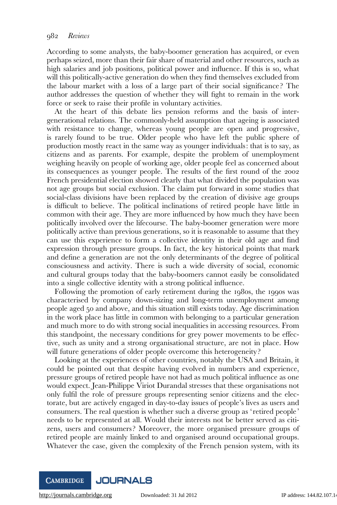According to some analysts, the baby-boomer generation has acquired, or even perhaps seized, more than their fair share of material and other resources, such as high salaries and job positions, political power and influence. If this is so, what will this politically-active generation do when they find themselves excluded from the labour market with a loss of a large part of their social significance ? The author addresses the question of whether they will fight to remain in the work force or seek to raise their profile in voluntary activities.

At the heart of this debate lies pension reforms and the basis of intergenerational relations. The commonly-held assumption that ageing is associated with resistance to change, whereas young people are open and progressive, is rarely found to be true. Older people who have left the public sphere of production mostly react in the same way as younger individuals: that is to say, as citizens and as parents. For example, despite the problem of unemployment weighing heavily on people of working age, older people feel as concerned about its consequences as younger people. The results of the first round of the 2002 French presidential election showed clearly that what divided the population was not age groups but social exclusion. The claim put forward in some studies that social-class divisions have been replaced by the creation of divisive age groups is difficult to believe. The political inclinations of retired people have little in common with their age. They are more influenced by how much they have been politically involved over the lifecourse. The baby-boomer generation were more politically active than previous generations, so it is reasonable to assume that they can use this experience to form a collective identity in their old age and find expression through pressure groups. In fact, the key historical points that mark and define a generation are not the only determinants of the degree of political consciousness and activity. There is such a wide diversity of social, economic and cultural groups today that the baby-boomers cannot easily be consolidated into a single collective identity with a strong political influence.

Following the promotion of early retirement during the 1980s, the 1990s was characterised by company down-sizing and long-term unemployment among people aged 50 and above, and this situation still exists today. Age discrimination in the work place has little in common with belonging to a particular generation and much more to do with strong social inequalities in accessing resources. From this standpoint, the necessary conditions for grey power movements to be effective, such as unity and a strong organisational structure, are not in place. How will future generations of older people overcome this heterogeneity?

Looking at the experiences of other countries, notably the USA and Britain, it could be pointed out that despite having evolved in numbers and experience, pressure groups of retired people have not had as much political influence as one would expect. Jean-Philippe Viriot Durandal stresses that these organisations not only fulfil the role of pressure groups representing senior citizens and the electorate, but are actively engaged in day-to-day issues of people's lives as users and consumers. The real question is whether such a diverse group as ' retired people' needs to be represented at all. Would their interests not be better served as citizens, users and consumers ? Moreover, the more organised pressure groups of retired people are mainly linked to and organised around occupational groups. Whatever the case, given the complexity of the French pension system, with its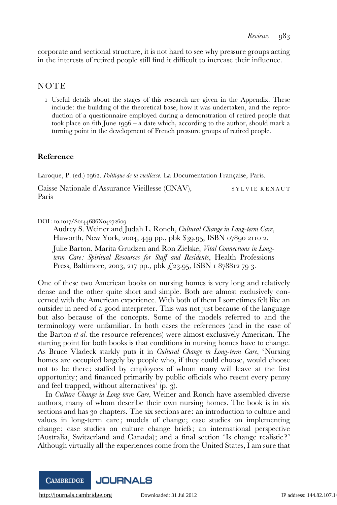corporate and sectional structure, it is not hard to see why pressure groups acting in the interests of retired people still find it difficult to increase their influence.

# **NOTE**

1 Useful details about the stages of this research are given in the Appendix. These include: the building of the theoretical base, how it was undertaken, and the reproduction of a questionnaire employed during a demonstration of retired people that took place on 6th June 1996 – a date which, according to the author, should mark a turning point in the development of French pressure groups of retired people.

# Reference

Laroque, P. (ed.) 1962. Politique de la vieillesse. La Documentation Française, Paris.

Caisse Nationale d'Assurance Vieillesse (CNAV), SYLVIE RENAUT Paris

DOI: 10.1017/S0144686X04272609

Audrey S. Weiner and Judah L. Ronch, Cultural Change in Long-term Care, Haworth, New York, 2004, 449 pp., pbk \$39.95, ISBN 07890 2110 2.

Julie Barton, Marita Grudzen and Ron Zielske, Vital Connections in Longterm Care: Spiritual Resources for Staff and Residents, Health Professions Press, Baltimore, 2003, 217 pp., pbk £23.95, ISBN 1 878812 79 3.

One of these two American books on nursing homes is very long and relatively dense and the other quite short and simple. Both are almost exclusively concerned with the American experience. With both of them I sometimes felt like an outsider in need of a good interpreter. This was not just because of the language but also because of the concepts. Some of the models referred to and the terminology were unfamiliar. In both cases the references (and in the case of the Barton et al. the resource references) were almost exclusively American. The starting point for both books is that conditions in nursing homes have to change. As Bruce Vladeck starkly puts it in Cultural Change in Long-term Care, 'Nursing homes are occupied largely by people who, if they could choose, would choose not to be there; staffed by employees of whom many will leave at the first opportunity; and financed primarily by public officials who resent every penny and feel trapped, without alternatives' (p. 3).

In Culture Change in Long-term Care, Weiner and Ronch have assembled diverse authors, many of whom describe their own nursing homes. The book is in six sections and has 30 chapters. The six sections are: an introduction to culture and values in long-term care; models of change; case studies on implementing change; case studies on culture change briefs; an international perspective (Australia, Switzerland and Canada); and a final section ' Is change realistic ?' Although virtually all the experiences come from the United States, I am sure that

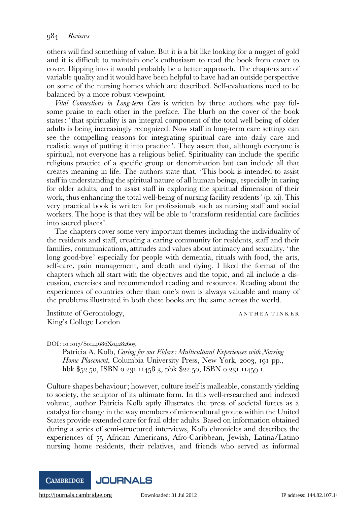others will find something of value. But it is a bit like looking for a nugget of gold and it is difficult to maintain one's enthusiasm to read the book from cover to cover. Dipping into it would probably be a better approach. The chapters are of variable quality and it would have been helpful to have had an outside perspective on some of the nursing homes which are described. Self-evaluations need to be balanced by a more robust viewpoint.

Vital Connections in Long-term Care is written by three authors who pay fulsome praise to each other in the preface. The blurb on the cover of the book states: 'that spirituality is an integral component of the total well being of older adults is being increasingly recognized. Now staff in long-term care settings can see the compelling reasons for integrating spiritual care into daily care and realistic ways of putting it into practice'. They assert that, although everyone is spiritual, not everyone has a religious belief. Spirituality can include the specific religious practice of a specific group or denomination but can include all that creates meaning in life. The authors state that, 'This book is intended to assist staff in understanding the spiritual nature of all human beings, especially in caring for older adults, and to assist staff in exploring the spiritual dimension of their work, thus enhancing the total well-being of nursing facility residents' (p. xi). This very practical book is written for professionals such as nursing staff and social workers. The hope is that they will be able to 'transform residential care facilities into sacred places'.

The chapters cover some very important themes including the individuality of the residents and staff, creating a caring community for residents, staff and their families, communications, attitudes and values about intimacy and sexuality, 'the long good-bye' especially for people with dementia, rituals with food, the arts, self-care, pain management, and death and dying. I liked the format of the chapters which all start with the objectives and the topic, and all include a discussion, exercises and recommended reading and resources. Reading about the experiences of countries other than one's own is always valuable and many of the problems illustrated in both these books are the same across the world.

Institute of Gerontology, ANTHEA TINKER King's College London

DOI: 10.1017/S0144686X04282605

Patricia A. Kolb, *Caring for our Elders: Multicultural Experiences with Nursing* Home Placement, Columbia University Press, New York, 2003, 191 pp., hbk \$52.50, ISBN 0 231 11458 3, pbk \$22.50, ISBN 0 231 11459 1.

Culture shapes behaviour; however, culture itself is malleable, constantly yielding to society, the sculptor of its ultimate form. In this well-researched and indexed volume, author Patricia Kolb aptly illustrates the press of societal forces as a catalyst for change in the way members of microcultural groups within the United States provide extended care for frail older adults. Based on information obtained during a series of semi-structured interviews, Kolb chronicles and describes the experiences of 75 African Americans, Afro-Caribbean, Jewish, Latina/Latino nursing home residents, their relatives, and friends who served as informal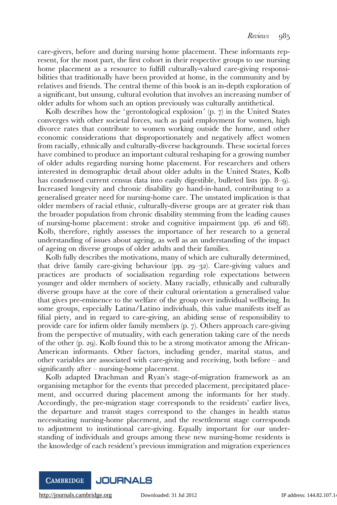care-givers, before and during nursing home placement. These informants represent, for the most part, the first cohort in their respective groups to use nursing home placement as a resource to fulfill culturally-valued care-giving responsibilities that traditionally have been provided at home, in the community and by relatives and friends. The central theme of this book is an in-depth exploration of a significant, but unsung, cultural evolution that involves an increasing number of older adults for whom such an option previously was culturally antithetical.

Kolb describes how the 'gerontological explosion'  $(p, 7)$  in the United States converges with other societal forces, such as paid employment for women, high divorce rates that contribute to women working outside the home, and other economic considerations that disproportionately and negatively affect women from racially, ethnically and culturally-diverse backgrounds. These societal forces have combined to produce an important cultural reshaping for a growing number of older adults regarding nursing home placement. For researchers and others interested in demographic detail about older adults in the United States, Kolb has condensed current census data into easily digestible, bulleted lists (pp. 8–9). Increased longevity and chronic disability go hand-in-hand, contributing to a generalised greater need for nursing-home care. The unstated implication is that older members of racial ethnic, culturally-diverse groups are at greater risk than the broader population from chronic disability stemming from the leading causes of nursing-home placement: stroke and cognitive impairment (pp. 26 and 68). Kolb, therefore, rightly assesses the importance of her research to a general understanding of issues about ageing, as well as an understanding of the impact of ageing on diverse groups of older adults and their families.

Kolb fully describes the motivations, many of which are culturally determined, that drive family care-giving behaviour (pp. 29–32). Care-giving values and practices are products of socialisation regarding role expectations between younger and older members of society. Many racially, ethnically and culturally diverse groups have at the core of their cultural orientation a generalised value that gives pre-eminence to the welfare of the group over individual wellbeing. In some groups, especially Latina/Latino individuals, this value manifests itself as filial piety, and in regard to care-giving, an abiding sense of responsibility to provide care for infirm older family members (p. 7). Others approach care-giving from the perspective of mutuality, with each generation taking care of the needs of the other (p. 29). Kolb found this to be a strong motivator among the African-American informants. Other factors, including gender, marital status, and other variables are associated with care-giving and receiving, both before – and significantly after – nursing-home placement.

Kolb adapted Drachman and Ryan's stage-of-migration framework as an organising metaphor for the events that preceded placement, precipitated placement, and occurred during placement among the informants for her study. Accordingly, the pre-migration stage corresponds to the residents' earlier lives, the departure and transit stages correspond to the changes in health status necessitating nursing-home placement, and the resettlement stage corresponds to adjustment to institutional care-giving. Equally important for our understanding of individuals and groups among these new nursing-home residents is the knowledge of each resident's previous immigration and migration experiences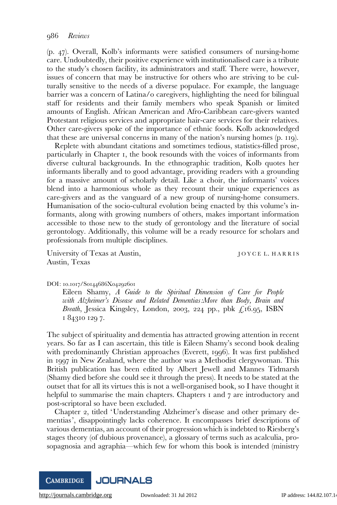(p. 47). Overall, Kolb's informants were satisfied consumers of nursing-home care. Undoubtedly, their positive experience with institutionalised care is a tribute to the study's chosen facility, its administrators and staff. There were, however, issues of concern that may be instructive for others who are striving to be culturally sensitive to the needs of a diverse populace. For example, the language barrier was a concern of Latina/o caregivers, highlighting the need for bilingual staff for residents and their family members who speak Spanish or limited amounts of English. African American and Afro-Caribbean care-givers wanted Protestant religious services and appropriate hair-care services for their relatives. Other care-givers spoke of the importance of ethnic foods. Kolb acknowledged that these are universal concerns in many of the nation's nursing homes (p. 119).

Replete with abundant citations and sometimes tedious, statistics-filled prose, particularly in Chapter 1, the book resounds with the voices of informants from diverse cultural backgrounds. In the ethnographic tradition, Kolb quotes her informants liberally and to good advantage, providing readers with a grounding for a massive amount of scholarly detail. Like a choir, the informants' voices blend into a harmonious whole as they recount their unique experiences as care-givers and as the vanguard of a new group of nursing-home consumers. Humanisation of the socio-cultural evolution being enacted by this volume's informants, along with growing numbers of others, makes important information accessible to those new to the study of gerontology and the literature of social gerontology. Additionally, this volume will be a ready resource for scholars and professionals from multiple disciplines.

University of Texas at Austin, JOYCE L. HARRIS Austin, Texas

#### DOI: 10.1017/S0144686X04292601

Eileen Shamy, A Guide to the Spiritual Dimension of Care for People with Alzheimer's Disease and Related Dementias:More than Body, Brain and Breath, Jessica Kingsley, London, 2003, 224 pp., pbk  $\xi$ 16.95, ISBN 1 84310 129 7.

The subject of spirituality and dementia has attracted growing attention in recent years. So far as I can ascertain, this title is Eileen Shamy's second book dealing with predominantly Christian approaches (Everett, 1996). It was first published in 1997 in New Zealand, where the author was a Methodist clergywoman. This British publication has been edited by Albert Jewell and Mannes Tidmarsh (Shamy died before she could see it through the press). It needs to be stated at the outset that for all its virtues this is not a well-organised book, so I have thought it helpful to summarise the main chapters. Chapters 1 and 7 are introductory and post-scriptoral so have been excluded.

Chapter 2, titled 'Understanding Alzheimer's disease and other primary dementias', disappointingly lacks coherence. It encompasses brief descriptions of various dementias, an account of their progression which is indebted to Riesberg's stages theory (of dubious provenance), a glossary of terms such as acalculia, prosopagnosia and agraphia—which few for whom this book is intended (ministry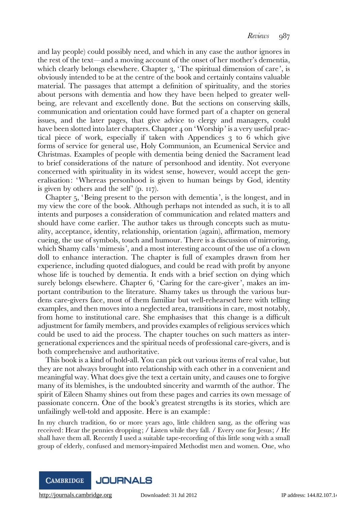and lay people) could possibly need, and which in any case the author ignores in the rest of the text—and a moving account of the onset of her mother's dementia, which clearly belongs elsewhere. Chapter 3, 'The spiritual dimension of care', is obviously intended to be at the centre of the book and certainly contains valuable material. The passages that attempt a definition of spirituality, and the stories about persons with dementia and how they have been helped to greater wellbeing, are relevant and excellently done. But the sections on conserving skills, communication and orientation could have formed part of a chapter on general issues, and the later pages, that give advice to clergy and managers, could have been slotted into later chapters. Chapter 4 on 'Worship' is a very useful practical piece of work, especially if taken with Appendices 3 to 6 which give forms of service for general use, Holy Communion, an Ecumenical Service and Christmas. Examples of people with dementia being denied the Sacrament lead to brief considerations of the nature of personhood and identity. Not everyone concerned with spirituality in its widest sense, however, would accept the generalisation: 'Whereas personhood is given to human beings by God, identity is given by others and the self' (p. 117).

Chapter 5, 'Being present to the person with dementia', is the longest, and in my view the core of the book. Although perhaps not intended as such, it is to all intents and purposes a consideration of communication and related matters and should have come earlier. The author takes us through concepts such as mutuality, acceptance, identity, relationship, orientation (again), affirmation, memory cueing, the use of symbols, touch and humour. There is a discussion of mirroring, which Shamy calls 'mimesis', and a most interesting account of the use of a clown doll to enhance interaction. The chapter is full of examples drawn from her experience, including quoted dialogues, and could be read with profit by anyone whose life is touched by dementia. It ends with a brief section on dying which surely belongs elsewhere. Chapter 6, 'Caring for the care-giver', makes an important contribution to the literature. Shamy takes us through the various burdens care-givers face, most of them familiar but well-rehearsed here with telling examples, and then moves into a neglected area, transitions in care, most notably, from home to institutional care. She emphasises that this change is a difficult adjustment for family members, and provides examples of religious services which could be used to aid the process. The chapter touches on such matters as intergenerational experiences and the spiritual needs of professional care-givers, and is both comprehensive and authoritative.

This book is a kind of hold-all. You can pick out various items of real value, but they are not always brought into relationship with each other in a convenient and meaningful way. What does give the text a certain unity, and causes one to forgive many of its blemishes, is the undoubted sincerity and warmth of the author. The spirit of Eileen Shamy shines out from these pages and carries its own message of passionate concern. One of the book's greatest strengths is its stories, which are unfailingly well-told and apposite. Here is an example:

In my church tradition, 60 or more years ago, little children sang, as the offering was received: Hear the pennies dropping; / Listen while they fall. / Every one for Jesus; / He shall have them all. Recently I used a suitable tape-recording of this little song with a small group of elderly, confused and memory-impaired Methodist men and women. One, who

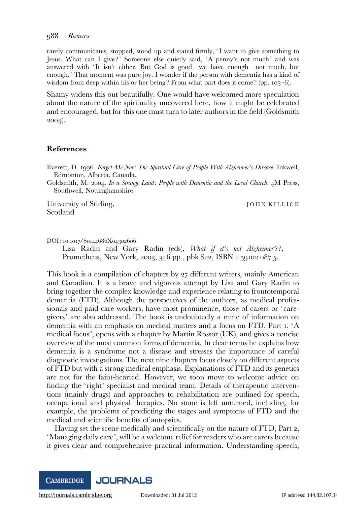## 988 Reviews

rarely communicates, stopped, stood up and stated firmly, 'I want to give something to Jesus. What can I give ?' Someone else quietly said, 'A penny's not much' and was answered with 'It isn't either. But God is  $\text{good}-\text{we}$  have enough – not much, but enough.' That moment was pure joy. I wonder if the person with dementia has a kind of wisdom from deep within his or her being? From what part does it come? (pp. 105–6).

Shamy widens this out beautifully. One would have welcomed more speculation about the nature of the spirituality uncovered here, how it might be celebrated and encouraged, but for this one must turn to later authors in the field (Goldsmith 2004).

## References

Everett, D. 1996. Forget Me Not: The Spiritual Care of People With Alzheimer's Disease. Inkwell, Edmonton, Alberta, Canada.

Goldsmith, M. 2004. In a Strange Land: People with Dementia and the Local Church.  $4M$  Press, Southwell, Nottinghamshire.

University of Stirling, The Community of Stirling, The Community of Stirling, The Community of Stirling, The Co Scotland

#### DOI: 10.1017/S0144686X04302606

Lisa Radin and Gary Radin (eds), What if it's not Alzheimer's?, Prometheus, New York, 2003, 346 pp., pbk \$22, ISBN 1 59102 087 5.

This book is a compilation of chapters by 27 different writers, mainly American and Canadian. It is a brave and vigorous attempt by Lisa and Gary Radin to bring together the complex knowledge and experience relating to frontotemporal dementia (FTD). Although the perspectives of the authors, as medical professionals and paid care workers, have most prominence, those of carers or 'caregivers' are also addressed. The book is undoubtedly a mine of information on dementia with an emphasis on medical matters and a focus on FTD. Part 1, 'A medical focus', opens with a chapter by Martin Rossor (UK), and gives a concise overview of the most common forms of dementia. In clear terms he explains how dementia is a syndrome not a disease and stresses the importance of careful diagnostic investigations. The next nine chapters focus closely on different aspects of FTD but with a strong medical emphasis. Explanations of FTD and its genetics are not for the faint-hearted. However, we soon move to welcome advice on finding the 'right' specialist and medical team. Details of therapeutic interventions (mainly drugs) and approaches to rehabilitation are outlined for speech, occupational and physical therapies. No stone is left unturned, including, for example, the problems of predicting the stages and symptoms of FTD and the medical and scientific benefits of autopsies.

Having set the scene medically and scientifically on the nature of FTD, Part 2, 'Managing daily care', will be a welcome relief for readers who are carers because it gives clear and comprehensive practical information. Understanding speech,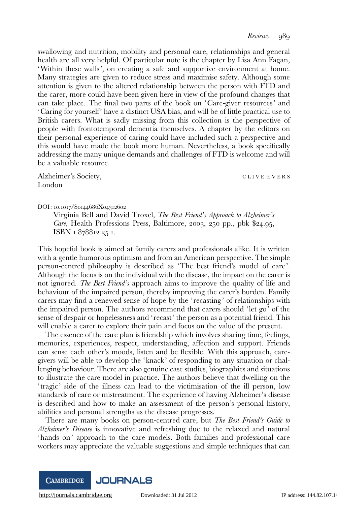swallowing and nutrition, mobility and personal care, relationships and general health are all very helpful. Of particular note is the chapter by Lisa Ann Fagan, 'Within these walls', on creating a safe and supportive environment at home. Many strategies are given to reduce stress and maximise safety. Although some attention is given to the altered relationship between the person with FTD and the carer, more could have been given here in view of the profound changes that can take place. The final two parts of the book on 'Care-giver resources' and 'Caring for yourself' have a distinct USA bias, and will be of little practical use to British carers. What is sadly missing from this collection is the perspective of people with frontotemporal dementia themselves. A chapter by the editors on their personal experience of caring could have included such a perspective and this would have made the book more human. Nevertheless, a book specifically addressing the many unique demands and challenges of FTD is welcome and will be a valuable resource.

Alzheimer's Society, CLIVE EVERS London

#### DOI: 10.1017/S0144686X04312602

Virginia Bell and David Troxel, The Best Friend's Approach to Alzheimer's Care, Health Professions Press, Baltimore, 2003, 250 pp., pbk \$24.95, ISBN 1 878812 35 1.

This hopeful book is aimed at family carers and professionals alike. It is written with a gentle humorous optimism and from an American perspective. The simple person-centred philosophy is described as 'The best friend's model of care'. Although the focus is on the individual with the disease, the impact on the carer is not ignored. The Best Friend's approach aims to improve the quality of life and behaviour of the impaired person, thereby improving the carer's burden. Family carers may find a renewed sense of hope by the ' recasting' of relationships with the impaired person. The authors recommend that carers should 'let go' of the sense of despair or hopelessness and ' recast' the person as a potential friend. This will enable a carer to explore their pain and focus on the value of the present.

The essence of the care plan is friendship which involves sharing time, feelings, memories, experiences, respect, understanding, affection and support. Friends can sense each other's moods, listen and be flexible. With this approach, caregivers will be able to develop the 'knack' of responding to any situation or challenging behaviour. There are also genuine case studies, biographies and situations to illustrate the care model in practice. The authors believe that dwelling on the 'tragic' side of the illness can lead to the victimisation of the ill person, low standards of care or mistreatment. The experience of having Alzheimer's disease is described and how to make an assessment of the person's personal history, abilities and personal strengths as the disease progresses.

There are many books on person-centred care, but The Best Friend's Guide to Alzheimer's Disease is innovative and refreshing due to the relaxed and natural 'hands on' approach to the care models. Both families and professional care workers may appreciate the valuable suggestions and simple techniques that can